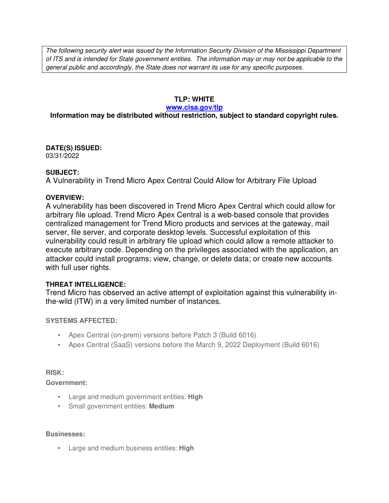The following security alert was issued by the Information Security Division of the Mississippi Department of ITS and is intended for State government entities. The information may or may not be applicable to the general public and accordingly, the State does not warrant its use for any specific purposes.

## **TLP: WHITE**

#### **www.cisa.gov/tlp**

# **Information may be distributed without restriction, subject to standard copyright rules.**

**DATE(S) ISSUED:** 03/31/2022

### **SUBJECT:**

A Vulnerability in Trend Micro Apex Central Could Allow for Arbitrary File Upload

### **OVERVIEW:**

A vulnerability has been discovered in Trend Micro Apex Central which could allow for arbitrary file upload. Trend Micro Apex Central is a web-based console that provides centralized management for Trend Micro products and services at the gateway, mail server, file server, and corporate desktop levels. Successful exploitation of this vulnerability could result in arbitrary file upload which could allow a remote attacker to execute arbitrary code. Depending on the privileges associated with the application, an attacker could install programs; view, change, or delete data; or create new accounts with full user rights.

## **THREAT INTELLIGENCE:**

Trend Micro has observed an active attempt of exploitation against this vulnerability inthe-wild (ITW) in a very limited number of instances.

## **SYSTEMS AFFECTED:**

- Apex Central (on-prem) versions before Patch 3 (Build 6016)
- Apex Central (SaaS) versions before the March 9, 2022 Deployment (Build 6016)

## **RISK:**

**Government:**

- Large and medium government entities: **High**
- Small government entities: **Medium**

#### **Businesses:**

• Large and medium business entities: **High**